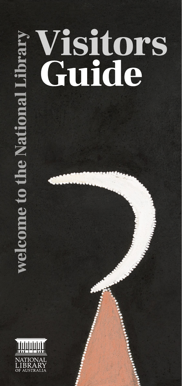# **Visitors<br>Guide welcome to the National Library**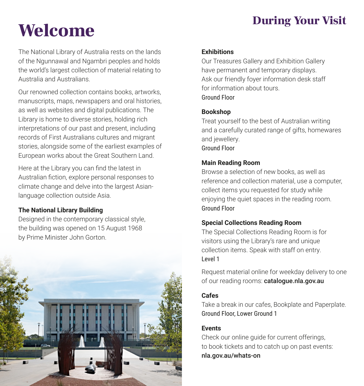# During Your Visit Welcome

The National Library of Australia rests on the lands of the Ngunnawal and Ngambri peoples and holds the world's largest collection of material relating to Australia and Australians.

Our renowned collection contains books, artworks, manuscripts, maps, newspapers and oral histories, as well as websites and digital publications. The Library is home to diverse stories, holding rich interpretations of our past and present, including records of First Australians cultures and migrant stories, alongside some of the earliest examples of European works about the Great Southern Land.

Here at the Library you can find the latest in Australian fiction, explore personal responses to climate change and delve into the largest Asianlanguage collection outside Asia.

### **The National Library Building**

Designed in the contemporary classical style, the building was opened on 15 August 1968 by Prime Minister John Gorton.



### **Exhibitions**

Our Treasures Gallery and Exhibition Gallery have permanent and temporary displays. Ask our friendly foyer information desk staff for information about tours. Ground Floor

### **Bookshop**

Treat yourself to the best of Australian writing and a carefully curated range of gifts, homewares and jewellery. Ground Floor

### **Main Reading Room**

Browse a selection of new books, as well as reference and collection material, use a computer, collect items you requested for study while enjoying the quiet spaces in the reading room. Ground Floor

### **Special Collections Reading Room**

The Special Collections Reading Room is for visitors using the Library's rare and unique collection items. Speak with staff on entry. Level 1

Request material online for weekday delivery to one of our reading rooms: catalogue.nla.gov.au

### **Cafes**

Take a break in our cafes, Bookplate and Paperplate. Ground Floor, Lower Ground 1

### **Events**

Check our online guide for current offerings, to book tickets and to catch up on past events: nla.gov.au/whats-on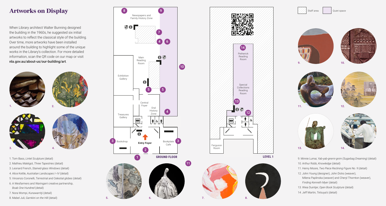# Artworks on Display

When Library architect Walter Bunning designed the building in the 1960s, he suggested six initial artworks to reflect the classical style of the building. Over time, more artworks have been installed around the building to highlight some of the unique works in the Library's collection. For more detailed information, scan the QR code on our map or visit nla.gov.au/about-us/our-building/art.





- 1. Tom Bass, *Lintel Sculpture* (detail)
- 2. Mathieu Matégot, *Three Tapestries* (detail)
- 3. Leonard French, *Stained-glass Windows* (detail)
- 4. Alice Kettle, *Australian Landscapes I–IV* (detail)
- 5. Vincenzo Coronelli, *Terrestrial and Celestial globes* (detail)
- 6. A Wesfarmers and Waringarri creative partnership, *Boab One Hundred* (detail)
- 7. Nora Wompi, *Kunawarritji* (detail)
- 8. Mabel Juli, *Garnkini on the Hill* (detail)













9. Minnie Lumai, *Yab-yab-gnerni-gnim (Sugarbag Dreaming)* (detail) 10. Arthur Robb, *Knowledge* (detail) 11. Henry Moore, *Two Piece Reclining Figure No. 9* (detail) 12. John Young (designer), John Dicks (weaver), Milena Paplinska (weaver) and Cheryl Thornton (weaver), *Finding Kenneth Myer* (detail) 13. Wiea Duintjer, *Open Book Sculpture* (detail) 14. Jeff Martin, *Tetsuya's* (detail)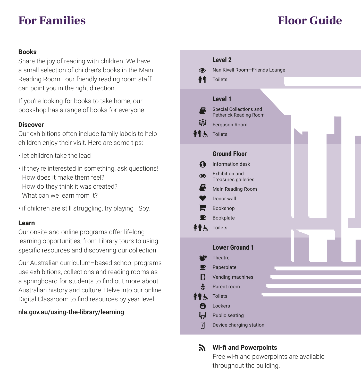### **For Families Floor Guide**

### **Books**

Share the joy of reading with children. We have a small selection of children's books in the Main Reading Room—our friendly reading room staff can point you in the right direction.

If you're looking for books to take home, our bookshop has a range of books for everyone.

### **Discover**

Our exhibitions often include family labels to help children enjoy their visit. Here are some tips:

- let children take the lead
- if they're interested in something, ask questions! How does it make them feel? How do they think it was created? What can we learn from it?
- if children are still struggling, try playing I Spy.

### **Learn**

Our onsite and online programs offer lifelong learning opportunities, from Library tours to using specific resources and discovering our collection.

Our Australian curriculum–based school programs use exhibitions, collections and reading rooms as a springboard for students to find out more about Australian history and culture. Delve into our online Digital Classroom to find resources by year level.

### nla.gov.au/using-the-library/learning



### **Wi-fi and Powerpoints**

Free wi-fi and powerpoints are available throughout the building.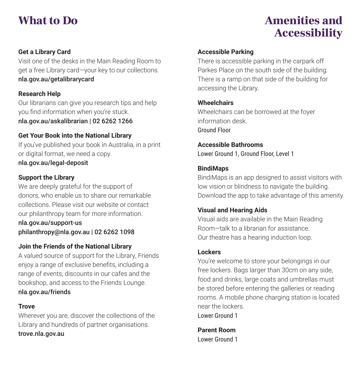## What to Do **Amenities** and Accessibility

### **Get a Library Card**

Visit one of the desks in the Main Reading Room to get a free Library card—your key to our collections. nla.gov.au/getalibrarycard

### **Research Help**

Our librarians can give you research tips and help you find information when you're stuck. nla.gov.au/askalibrarian | 02 6262 1266

### **Get Your Book into the National Library**

If you've published your book in Australia, in a print or digital format, we need a copy. nla.gov.au/legal-deposit

### **Support the Library**

We are deeply grateful for the support of donors, who enable us to share our remarkable collections. Please visit our website or contact our philanthropy team for more information.

nla.gov.au/support-us philanthropy@nla.gov.au | 02 6262 1098

### **Join the Friends of the National Library**

A valued source of support for the Library, Friends enjoy a range of exclusive benefits, including a range of events, discounts in our cafes and the bookshop, and access to the Friends Lounge. nla.gov.au/friends

### **Trove**

Wherever you are, discover the collections of the Library and hundreds of partner organisations. trove.nla.gov.au

### **Accessible Parking**

There is accessible parking in the carpark off Parkes Place on the south side of the building. There is a ramp on that side of the building for accessing the Library.

### **Wheelchairs**

Wheelchairs can be borrowed at the foyer information desk. Ground Floor

**Accessible Bathrooms** Lower Ground 1, Ground Floor, Level 1

### **BindiMaps**

BindiMaps is an app designed to assist visitors with low vision or blindness to navigate the building. Download the app to take advantage of this amenity.

### **Visual and Hearing Aids**

Visual aids are available in the Main Reading Room—talk to a librarian for assistance. Our theatre has a hearing induction loop.

### **Lockers**

You're welcome to store your belongings in our free lockers. Bags larger than 30cm on any side, food and drinks, large coats and umbrellas must be stored before entering the galleries or reading rooms. A mobile phone charging station is located near the lockers.

Lower Ground 1

**Parent Room**  Lower Ground 1